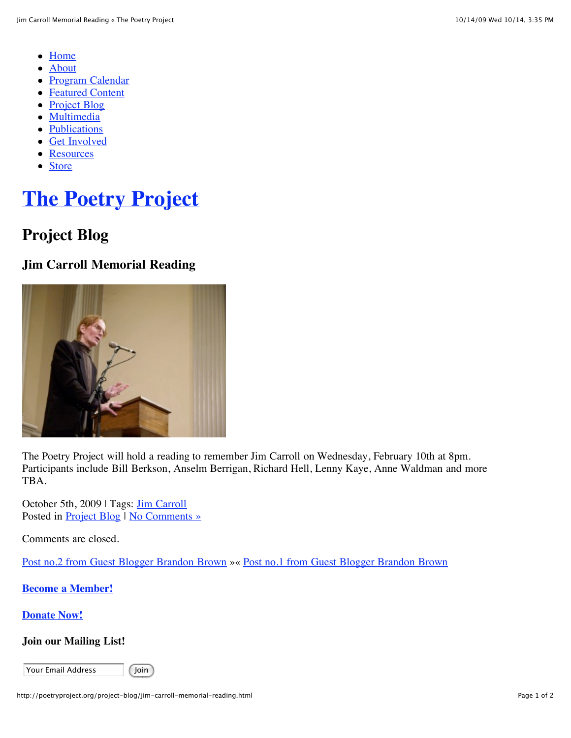- [Home](http://poetryproject.org/)
- [About](http://poetryproject.org/about/mission)  $\bullet$
- [Program Calendar](http://poetryproject.org/program-calendar/readings?ec3_after=today)
- [Featured Content](http://poetryproject.org/featured-content/featured-content/reviews)
- [Project Blog](http://poetryproject.org/project-blog)
- [Multimedia](http://poetryproject.org/multimedia/audio)
- [Publications](http://poetryproject.org/publications/newsletter)
- [Get Involved](http://poetryproject.org/get-involved/become-a-member)
- [Resources](http://poetryproject.org/resources/books-received)
- [Store](http://poetryproject.bigcartel.com/)

# **[The Poetry Project](http://poetryproject.org/)**

### **Project Blog**

### **Jim Carroll Memorial Reading**



The Poetry Project will hold a reading to remember Jim Carroll on Wednesday, February 10th at 8pm. Participants include Bill Berkson, Anselm Berrigan, Richard Hell, Lenny Kaye, Anne Waldman and more TBA.

October 5th, 2009 | Tags: [Jim Carroll](http://poetryproject.org/tag/jim-carroll) Posted in **Project Blog | No Comments** »

Comments are closed.

[Post no.2 from Guest Blogger Brandon Brown](http://poetryproject.org/project-blog/post-no-2-from-guest-blogger-brandon-brown.html) »« [Post no.1 from Guest Blogger Brandon Brown](http://poetryproject.org/project-blog/post-no-1-from-guest-blogger-brandon-brown.html)

**[Become a Member!](http://poetryproject.org/get-involved/become-a-member)**

**[Donate Now!](http://poetryproject.org/get-involved/donate-now)**

#### **Join our Mailing List!**

Your Email Address | Join